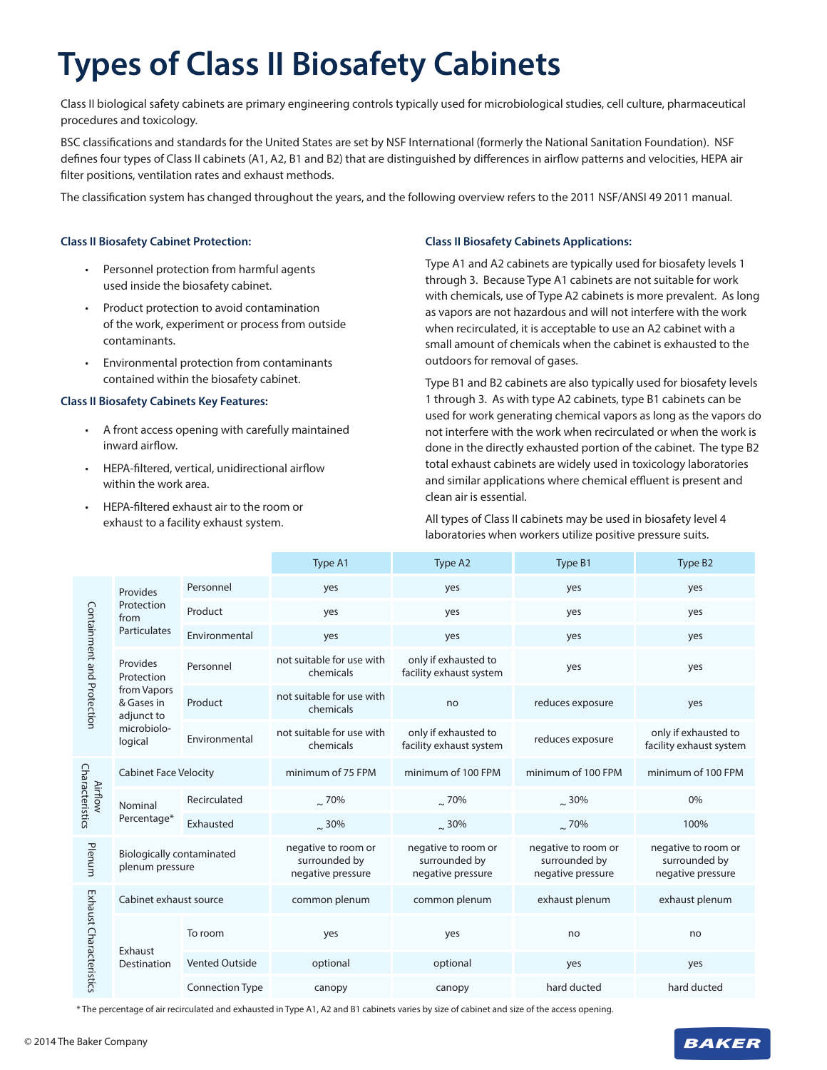# **Types of Class II Biosafety Cabinets**

Class II biological safety cabinets are primary engineering controls typically used for microbiological studies, cell culture, pharmaceutical procedures and toxicology.

BSC classifications and standards for the United States are set by NSF International (formerly the National Sanitation Foundation). NSF defines four types of Class II cabinets (A1, A2, B1 and B2) that are distinguished by differences in airflow patterns and velocities, HEPA air filter positions, ventilation rates and exhaust methods.

The classification system has changed throughout the years, and the following overview refers to the 2011 NSF/ANSI 49 2011 manual.

#### **Class II Biosafety Cabinet Protection:**

- Personnel protection from harmful agents used inside the biosafety cabinet.
- Product protection to avoid contamination of the work, experiment or process from outside contaminants.
- Environmental protection from contaminants contained within the biosafety cabinet.

### **Class II Biosafety Cabinets Key Features:**

- A front access opening with carefully maintained inward airflow.
- HEPA-filtered, vertical, unidirectional airflow within the work area.
- HEPA-filtered exhaust air to the room or exhaust to a facility exhaust system.

### **Class II Biosafety Cabinets Applications:**

Type A1 and A2 cabinets are typically used for biosafety levels 1 through 3. Because Type A1 cabinets are not suitable for work with chemicals, use of Type A2 cabinets is more prevalent. As long as vapors are not hazardous and will not interfere with the work when recirculated, it is acceptable to use an A2 cabinet with a small amount of chemicals when the cabinet is exhausted to the outdoors for removal of gases.

Type B1 and B2 cabinets are also typically used for biosafety levels 1 through 3. As with type A2 cabinets, type B1 cabinets can be used for work generating chemical vapors as long as the vapors do not interfere with the work when recirculated or when the work is done in the directly exhausted portion of the cabinet. The type B2 total exhaust cabinets are widely used in toxicology laboratories and similar applications where chemical effluent is present and clean air is essential.

All types of Class II cabinets may be used in biosafety level 4 laboratories when workers utilize positive pressure suits.

|                                   |                                                                                             |                        | Type A1                                                   | Type A2                                                   | Type B1                                                   | Type B <sub>2</sub>                                       |
|-----------------------------------|---------------------------------------------------------------------------------------------|------------------------|-----------------------------------------------------------|-----------------------------------------------------------|-----------------------------------------------------------|-----------------------------------------------------------|
| Containment and Protection        | Provides<br>Protection<br>from<br><b>Particulates</b>                                       | Personnel              | yes                                                       | yes                                                       | yes                                                       | yes                                                       |
|                                   |                                                                                             | Product                | yes                                                       | yes                                                       | yes                                                       | yes                                                       |
|                                   |                                                                                             | Environmental          | yes                                                       | yes                                                       | yes                                                       | yes                                                       |
|                                   | Provides<br>Protection<br>from Vapors<br>& Gases in<br>adjunct to<br>microbiolo-<br>logical | Personnel              | not suitable for use with<br>chemicals                    | only if exhausted to<br>facility exhaust system           | yes                                                       | yes                                                       |
|                                   |                                                                                             | Product                | not suitable for use with<br>chemicals                    | no                                                        | reduces exposure                                          | yes                                                       |
|                                   |                                                                                             | Environmental          | not suitable for use with<br>chemicals                    | only if exhausted to<br>facility exhaust system           | reduces exposure                                          | only if exhausted to<br>facility exhaust system           |
| Characteristics<br><b>Airflow</b> | <b>Cabinet Face Velocity</b>                                                                |                        | minimum of 75 FPM                                         | minimum of 100 FPM                                        | minimum of 100 FPM                                        | minimum of 100 FPM                                        |
|                                   | Nominal<br>Percentage*                                                                      | Recirculated           | $\approx 70\%$                                            | .70%                                                      | $\approx$ 30%                                             | 0%                                                        |
|                                   |                                                                                             | Exhausted              | $\approx$ 30%                                             | $\approx$ 30%                                             | $\sim$ 70%                                                | 100%                                                      |
| Plenum                            | <b>Biologically contaminated</b><br>plenum pressure                                         |                        | negative to room or<br>surrounded by<br>negative pressure | negative to room or<br>surrounded by<br>negative pressure | negative to room or<br>surrounded by<br>negative pressure | negative to room or<br>surrounded by<br>negative pressure |
| Exhaust Characteristics           | Cabinet exhaust source                                                                      |                        | common plenum                                             | common plenum                                             | exhaust plenum                                            | exhaust plenum                                            |
|                                   | Exhaust<br>Destination                                                                      | To room                | yes                                                       | yes                                                       | no                                                        | no                                                        |
|                                   |                                                                                             | <b>Vented Outside</b>  | optional                                                  | optional                                                  | yes                                                       | yes                                                       |
|                                   |                                                                                             | <b>Connection Type</b> | canopy                                                    | canopy                                                    | hard ducted                                               | hard ducted                                               |

\* The percentage of air recirculated and exhausted in Type A1, A2 and B1 cabinets varies by size of cabinet and size of the access opening.